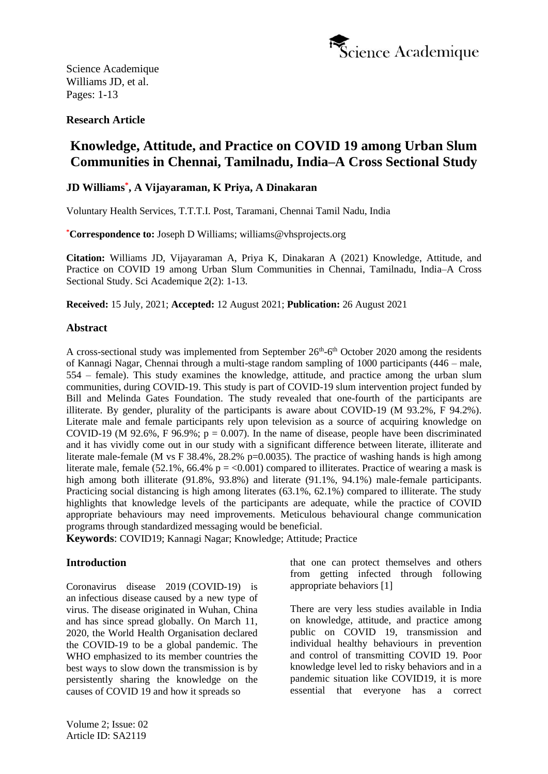

# **Research Article**

# **Knowledge, Attitude, and Practice on COVID 19 among Urban Slum Communities in Chennai, Tamilnadu, India–A Cross Sectional Study**

# **JD Williams\* , A Vijayaraman, K Priya, A Dinakaran**

Voluntary Health Services, T.T.T.I. Post, Taramani, Chennai Tamil Nadu, India

**\*Correspondence to:** Joseph D Williams; williams@vhsprojects.org

**Citation:** Williams JD, Vijayaraman A, Priya K, Dinakaran A (2021) Knowledge, Attitude, and Practice on COVID 19 among Urban Slum Communities in Chennai, Tamilnadu, India–A Cross Sectional Study. Sci Academique 2(2): 1-13.

**Received:** 15 July, 2021; **Accepted:** 12 August 2021; **Publication:** 26 August 2021

### **Abstract**

A cross-sectional study was implemented from September  $26<sup>th</sup>-6<sup>th</sup>$  October 2020 among the residents of Kannagi Nagar, Chennai through a multi-stage random sampling of 1000 participants (446 – male, 554 – female). This study examines the knowledge, attitude, and practice among the urban slum communities, during COVID-19. This study is part of COVID-19 slum intervention project funded by Bill and Melinda Gates Foundation. The study revealed that one-fourth of the participants are illiterate. By gender, plurality of the participants is aware about COVID-19 (M 93.2%, F 94.2%). Literate male and female participants rely upon television as a source of acquiring knowledge on COVID-19 (M 92.6%, F 96.9%;  $p = 0.007$ ). In the name of disease, people have been discriminated and it has vividly come out in our study with a significant difference between literate, illiterate and literate male-female (M vs F  $38.4\%$ ,  $28.2\%$  p=0.0035). The practice of washing hands is high among literate male, female (52.1%, 66.4%  $p = 0.001$ ) compared to illiterates. Practice of wearing a mask is high among both illiterate (91.8%, 93.8%) and literate (91.1%, 94.1%) male-female participants. Practicing social distancing is high among literates (63.1%, 62.1%) compared to illiterate. The study highlights that knowledge levels of the participants are adequate, while the practice of COVID appropriate behaviours may need improvements. Meticulous behavioural change communication programs through standardized messaging would be beneficial.

**Keywords**: COVID19; Kannagi Nagar; Knowledge; Attitude; Practice

### **Introduction**

Coronavirus disease 2019 (COVID-19) is an infectious disease caused by a new type of virus. The disease originated in Wuhan, China and has since spread globally. On March 11, 2020, the World Health Organisation declared the COVID-19 to be a global pandemic. The WHO emphasized to its member countries the best ways to slow down the transmission is by persistently sharing the knowledge on the causes of COVID 19 and how it spreads so

that one can protect themselves and others from getting infected through following appropriate behaviors [\[1\]](#page-11-0)

There are very less studies available in India on knowledge, attitude, and practice among public on COVID 19, transmission and individual healthy behaviours in prevention and control of transmitting COVID 19. Poor knowledge level led to risky behaviors and in a pandemic situation like COVID19, it is more essential that everyone has a correct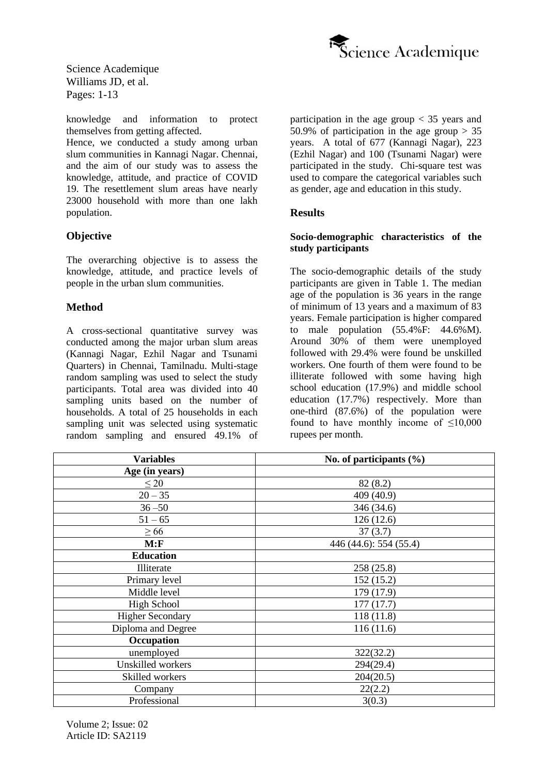

knowledge and information to protect themselves from getting affected.

Hence, we conducted a study among urban slum communities in Kannagi Nagar. Chennai, and the aim of our study was to assess the knowledge, attitude, and practice of COVID 19. The resettlement slum areas have nearly 23000 household with more than one lakh population.

### **Objective**

The overarching objective is to assess the knowledge, attitude, and practice levels of people in the urban slum communities.

### **Method**

A cross-sectional quantitative survey was conducted among the major urban slum areas (Kannagi Nagar, Ezhil Nagar and Tsunami Quarters) in Chennai, Tamilnadu. Multi-stage random sampling was used to select the study participants. Total area was divided into 40 sampling units based on the number of households. A total of 25 households in each sampling unit was selected using systematic random sampling and ensured 49.1% of participation in the age group < 35 years and 50.9% of participation in the age group  $> 35$ years. A total of 677 (Kannagi Nagar), 223 (Ezhil Nagar) and 100 (Tsunami Nagar) were participated in the study. Chi-square test was used to compare the categorical variables such as gender, age and education in this study.

### **Results**

### **Socio-demographic characteristics of the study participants**

The socio-demographic details of the study participants are given in Table 1. The median age of the population is 36 years in the range of minimum of 13 years and a maximum of 83 years. Female participation is higher compared to male population  $(55.4\%$  F:  $44.6\%$  M). Around 30% of them were unemployed followed with 29.4% were found be unskilled workers. One fourth of them were found to be illiterate followed with some having high school education (17.9%) and middle school education (17.7%) respectively. More than one-third (87.6%) of the population were found to have monthly income of <10,000 rupees per month.

| <b>Variables</b>        | No. of participants $(\% )$ |
|-------------------------|-----------------------------|
| Age (in years)          |                             |
| $\leq 20$               | 82(8.2)                     |
| $20 - 35$               | 409 (40.9)                  |
| $36 - 50$               | 346 (34.6)                  |
| $51 - 65$               | 126(12.6)                   |
| $\geq 66$               | 37(3.7)                     |
| M: F                    | 446 (44.6): 554 (55.4)      |
| <b>Education</b>        |                             |
| Illiterate              | 258 (25.8)                  |
| Primary level           | 152 (15.2)                  |
| Middle level            | 179 (17.9)                  |
| <b>High School</b>      | 177(17.7)                   |
| <b>Higher Secondary</b> | 118(11.8)                   |
| Diploma and Degree      | 116(11.6)                   |
| Occupation              |                             |
| unemployed              | 322(32.2)                   |
| Unskilled workers       | 294(29.4)                   |
| Skilled workers         | 204(20.5)                   |
| Company                 | 22(2.2)                     |
| Professional            | 3(0.3)                      |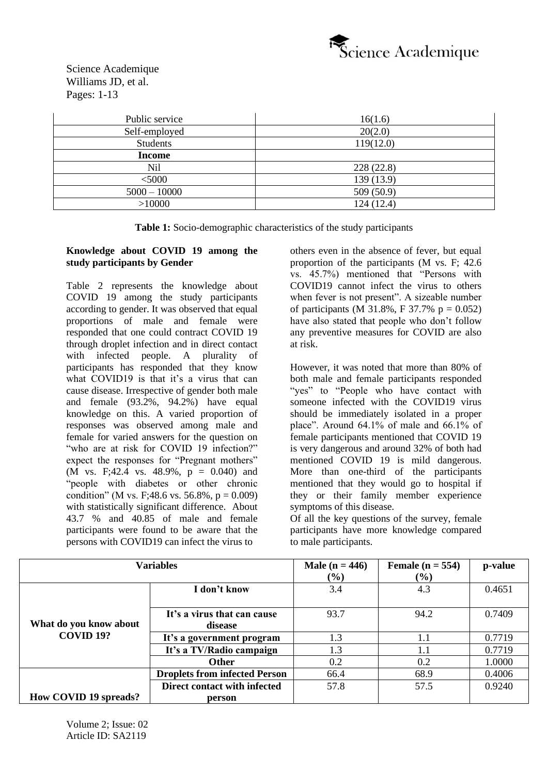

| Public service  | 16(1.6)    |
|-----------------|------------|
| Self-employed   | 20(2.0)    |
| <b>Students</b> | 119(12.0)  |
| Income          |            |
| N <sub>il</sub> | 228(22.8)  |
| $<$ 5000        | 139 (13.9) |
| $5000 - 10000$  | 509 (50.9) |
| >10000          | 124(12.4)  |

**Table 1:** Socio-demographic characteristics of the study participants

### **Knowledge about COVID 19 among the study participants by Gender**

Table 2 represents the knowledge about COVID 19 among the study participants according to gender. It was observed that equal proportions of male and female were responded that one could contract COVID 19 through droplet infection and in direct contact with infected people. A plurality of participants has responded that they know what COVID19 is that it's a virus that can cause disease. Irrespective of gender both male and female  $(93.2\%$ ,  $94.2\%$ ) have equal knowledge on this. A varied proportion of responses was observed among male and female for varied answers for the question on "who are at risk for COVID 19 infection?" expect the responses for "Pregnant mothers" (M vs. F;42.4 vs. 48.9%,  $p = 0.040$ ) and "people with diabetes or other chronic condition" (M vs. F:48.6 vs. 56.8%,  $p = 0.009$ ) with statistically significant difference. About 43.7 % and 40.85 of male and female participants were found to be aware that the persons with COVID19 can infect the virus to

others even in the absence of fever, but equal proportion of the participants (M vs. F; 42.6 vs. 45.7%) mentioned that "Persons with COVID19 cannot infect the virus to others when fever is not present". A sizeable number of participants (M 31.8%, F 37.7% p =  $0.052$ ) have also stated that people who don't follow any preventive measures for COVID are also at risk.

However, it was noted that more than 80% of both male and female participants responded "yes" to "People who have contact with someone infected with the COVID19 virus should be immediately isolated in a proper place". Around 64.1% of male and 66.1% of female participants mentioned that COVID 19 is very dangerous and around 32% of both had mentioned COVID 19 is mild dangerous. More than one-third of the participants mentioned that they would go to hospital if they or their family member experience symptoms of this disease.

Of all the key questions of the survey, female participants have more knowledge compared to male participants.

|                        | <b>Variables</b>                     | <b>Male</b> ( $n = 446$ ) | Female $(n = 554)$ | p-value |
|------------------------|--------------------------------------|---------------------------|--------------------|---------|
|                        |                                      | $(\%)$                    | (%)                |         |
|                        | I don't know                         | 3.4                       | 4.3                | 0.4651  |
|                        |                                      |                           |                    |         |
|                        | It's a virus that can cause          | 93.7                      | 94.2               | 0.7409  |
| What do you know about | disease                              |                           |                    |         |
| COVID <sub>19?</sub>   | It's a government program            | 1.3                       | 1.1                | 0.7719  |
|                        | It's a TV/Radio campaign             | 1.3                       | 1.1                | 0.7719  |
|                        | <b>Other</b>                         | 0.2                       | 0.2                | 1.0000  |
|                        | <b>Droplets from infected Person</b> | 66.4                      | 68.9               | 0.4006  |
|                        | Direct contact with infected         | 57.8                      | 57.5               | 0.9240  |
| How COVID 19 spreads?  | person                               |                           |                    |         |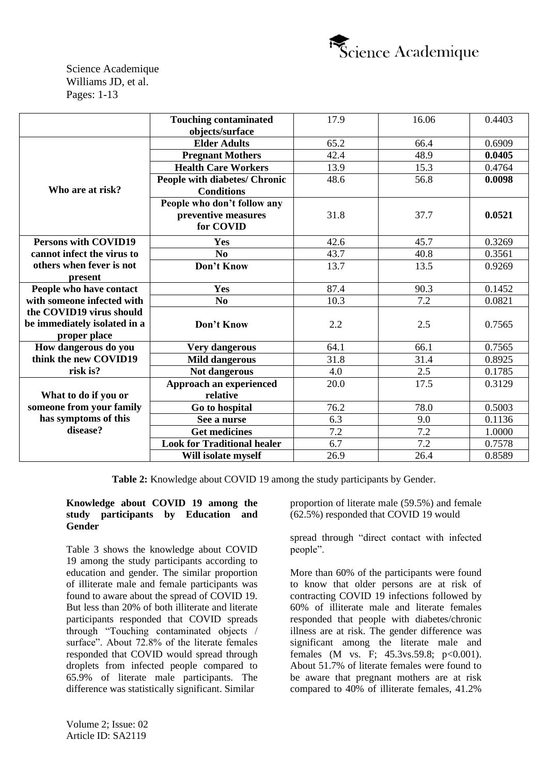

|                                                                          | <b>Touching contaminated</b>         | 17.9 | 16.06 | 0.4403 |
|--------------------------------------------------------------------------|--------------------------------------|------|-------|--------|
|                                                                          | objects/surface                      |      |       |        |
|                                                                          | <b>Elder Adults</b>                  | 65.2 | 66.4  | 0.6909 |
|                                                                          | <b>Pregnant Mothers</b>              | 42.4 | 48.9  | 0.0405 |
|                                                                          | <b>Health Care Workers</b>           | 13.9 | 15.3  | 0.4764 |
|                                                                          | <b>People with diabetes/ Chronic</b> | 48.6 | 56.8  | 0.0098 |
| Who are at risk?                                                         | <b>Conditions</b>                    |      |       |        |
|                                                                          | People who don't follow any          |      |       |        |
|                                                                          | preventive measures                  | 31.8 | 37.7  | 0.0521 |
|                                                                          | for COVID                            |      |       |        |
| <b>Persons with COVID19</b>                                              | Yes                                  | 42.6 | 45.7  | 0.3269 |
| cannot infect the virus to                                               | N <sub>0</sub>                       | 43.7 | 40.8  | 0.3561 |
| others when fever is not                                                 | Don't Know                           | 13.7 | 13.5  | 0.9269 |
| present                                                                  |                                      |      |       |        |
| People who have contact                                                  | Yes                                  | 87.4 | 90.3  | 0.1452 |
| with someone infected with                                               | N <sub>0</sub>                       | 10.3 | 7.2   | 0.0821 |
| the COVID19 virus should<br>be immediately isolated in a<br>proper place | Don't Know                           | 2.2  | 2.5   | 0.7565 |
| How dangerous do you                                                     | <b>Very dangerous</b>                | 64.1 | 66.1  | 0.7565 |
| think the new COVID19                                                    | <b>Mild dangerous</b>                | 31.8 | 31.4  | 0.8925 |
| risk is?                                                                 | Not dangerous                        | 4.0  | 2.5   | 0.1785 |
|                                                                          | Approach an experienced              | 20.0 | 17.5  | 0.3129 |
| What to do if you or                                                     | relative                             |      |       |        |
| someone from your family                                                 | Go to hospital                       | 76.2 | 78.0  | 0.5003 |
| has symptoms of this                                                     | See a nurse                          | 6.3  | 9.0   | 0.1136 |
| disease?                                                                 | <b>Get medicines</b>                 | 7.2  | 7.2   | 1.0000 |
|                                                                          | <b>Look for Traditional healer</b>   | 6.7  | 7.2   | 0.7578 |
|                                                                          | Will isolate myself                  | 26.9 | 26.4  | 0.8589 |

**Table 2:** Knowledge about COVID 19 among the study participants by Gender.

### **Knowledge about COVID 19 among the study participants by Education and Gender**

Table 3 shows the knowledge about COVID 19 among the study participants according to education and gender. The similar proportion of illiterate male and female participants was found to aware about the spread of COVID 19. But less than 20% of both illiterate and literate participants responded that COVID spreads through "Touching contaminated objects / surface". About 72.8% of the literate females responded that COVID would spread through droplets from infected people compared to 65.9% of literate male participants. The difference was statistically significant. Similar

proportion of literate male (59.5%) and female (62.5%) responded that COVID 19 would

spread through "direct contact with infected people".

More than 60% of the participants were found to know that older persons are at risk of contracting COVID 19 infections followed by 60% of illiterate male and literate females responded that people with diabetes/chronic illness are at risk. The gender difference was significant among the literate male and females (M vs. F; 45.3vs.59.8; p<0.001). About 51.7% of literate females were found to be aware that pregnant mothers are at risk compared to 40% of illiterate females, 41.2%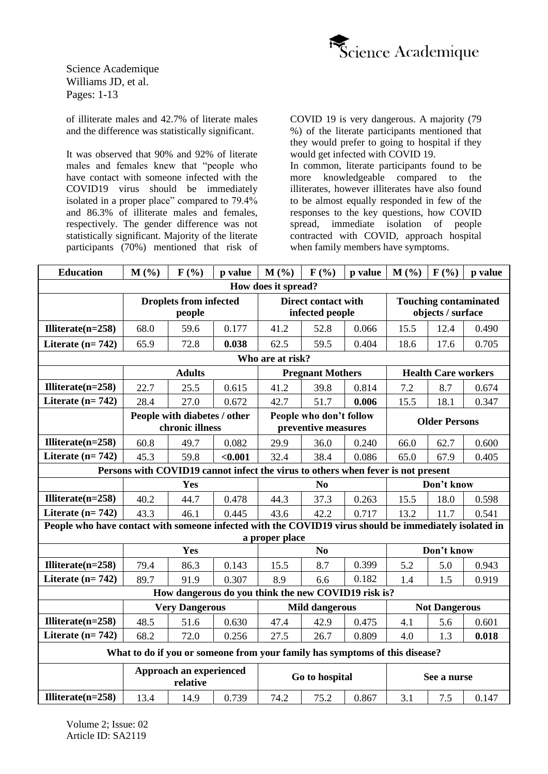

of illiterate males and 42.7% of literate males and the difference was statistically significant.

It was observed that 90% and 92% of literate males and females knew that "people who have contact with someone infected with the COVID19 virus should be immediately isolated in a proper place" compared to 79.4% and 86.3% of illiterate males and females, respectively. The gender difference was not statistically significant. Majority of the literate participants (70%) mentioned that risk of

COVID 19 is very dangerous. A majority (79 %) of the literate participants mentioned that they would prefer to going to hospital if they would get infected with COVID 19.

In common, literate participants found to be more knowledgeable compared to the illiterates, however illiterates have also found to be almost equally responded in few of the responses to the key questions, how COVID spread, immediate isolation of people contracted with COVID, approach hospital when family members have symptoms.

| <b>Education</b>                                                                                       | M(%)<br>F(%)<br>M(%)<br>F(%)<br>p value |                                                 |                                                                             |                                                                                  | p value                                        | $M($ %) | F(%)        | p value                                           |       |  |  |
|--------------------------------------------------------------------------------------------------------|-----------------------------------------|-------------------------------------------------|-----------------------------------------------------------------------------|----------------------------------------------------------------------------------|------------------------------------------------|---------|-------------|---------------------------------------------------|-------|--|--|
|                                                                                                        |                                         |                                                 |                                                                             | How does it spread?                                                              |                                                |         |             |                                                   |       |  |  |
|                                                                                                        |                                         | <b>Droplets from infected</b><br>people         |                                                                             |                                                                                  | <b>Direct contact with</b><br>infected people  |         |             | <b>Touching contaminated</b><br>objects / surface |       |  |  |
| Illiterate $(n=258)$                                                                                   | 68.0                                    | 59.6                                            | 0.177                                                                       | 41.2                                                                             | 52.8                                           | 0.066   | 15.5        | 12.4                                              | 0.490 |  |  |
| Literate $(n=742)$                                                                                     | 65.9                                    | 72.8                                            | 0.038                                                                       | 62.5                                                                             | 59.5                                           | 0.404   | 18.6        | 17.6                                              | 0.705 |  |  |
|                                                                                                        |                                         |                                                 |                                                                             | Who are at risk?                                                                 |                                                |         |             |                                                   |       |  |  |
|                                                                                                        |                                         | <b>Adults</b>                                   |                                                                             |                                                                                  | <b>Pregnant Mothers</b>                        |         |             | <b>Health Care workers</b>                        |       |  |  |
| Illiterate $(n=258)$                                                                                   | 22.7                                    | 25.5                                            | 0.615                                                                       | 41.2                                                                             | 39.8                                           | 0.814   | 7.2         | 8.7                                               | 0.674 |  |  |
| Literate $(n=742)$                                                                                     | 28.4                                    | 27.0                                            | 0.672                                                                       | 42.7                                                                             | 51.7                                           | 0.006   | 15.5        | 18.1                                              | 0.347 |  |  |
|                                                                                                        |                                         | People with diabetes / other<br>chronic illness |                                                                             |                                                                                  | People who don't follow<br>preventive measures |         |             | <b>Older Persons</b>                              |       |  |  |
| Illiterate $(n=258)$                                                                                   | 60.8                                    | 49.7                                            | 0.082                                                                       | 29.9                                                                             | 36.0                                           | 0.240   | 66.0        | 62.7                                              | 0.600 |  |  |
| Literate $(n=742)$                                                                                     | 45.3                                    | 59.8                                            | < 0.001                                                                     | 32.4                                                                             | 38.4                                           | 0.086   | 65.0        | 67.9                                              | 0.405 |  |  |
|                                                                                                        |                                         |                                                 |                                                                             | Persons with COVID19 cannot infect the virus to others when fever is not present |                                                |         |             |                                                   |       |  |  |
|                                                                                                        |                                         | Yes                                             |                                                                             | No                                                                               |                                                |         |             | Don't know                                        |       |  |  |
| Illiterate $(n=258)$                                                                                   | 40.2                                    | 44.7                                            | 0.478                                                                       | 44.3                                                                             | 37.3                                           | 0.263   | 15.5        | 18.0                                              | 0.598 |  |  |
| Literate $(n=742)$                                                                                     | 43.3                                    | 46.1                                            | 0.445                                                                       | 43.6                                                                             | 42.2                                           | 0.717   | 13.2        | 11.7                                              | 0.541 |  |  |
| People who have contact with someone infected with the COVID19 virus should be immediately isolated in |                                         |                                                 |                                                                             |                                                                                  |                                                |         |             |                                                   |       |  |  |
|                                                                                                        |                                         | Yes                                             |                                                                             | a proper place                                                                   | N <sub>0</sub>                                 |         |             | Don't know                                        |       |  |  |
| Illiterate $(n=258)$                                                                                   |                                         | 86.3                                            |                                                                             | 15.5                                                                             | 8.7                                            | 0.399   | 5.2         | 5.0                                               | 0.943 |  |  |
| Literate $(n=742)$                                                                                     | 79.4<br>89.7                            | 91.9                                            | 0.143<br>0.307                                                              | 8.9                                                                              | 6.6                                            | 0.182   |             |                                                   |       |  |  |
|                                                                                                        |                                         |                                                 | How dangerous do you think the new COVID19 risk is?                         |                                                                                  |                                                |         | 1.4         | 1.5                                               | 0.919 |  |  |
|                                                                                                        |                                         | <b>Very Dangerous</b>                           |                                                                             |                                                                                  | <b>Mild dangerous</b>                          |         |             | <b>Not Dangerous</b>                              |       |  |  |
| Illiterate $(n=258)$                                                                                   | 48.5                                    | 51.6                                            | 0.630                                                                       | 47.4                                                                             | 42.9                                           | 0.475   | 4.1         | 5.6                                               | 0.601 |  |  |
| Literate $(n=742)$                                                                                     | 68.2                                    | 72.0                                            | 0.256                                                                       | 27.5                                                                             | 26.7                                           | 0.809   | 4.0         | 1.3                                               | 0.018 |  |  |
|                                                                                                        |                                         |                                                 | What to do if you or someone from your family has symptoms of this disease? |                                                                                  |                                                |         |             |                                                   |       |  |  |
| Approach an experienced<br>relative                                                                    |                                         |                                                 |                                                                             | Go to hospital                                                                   |                                                |         | See a nurse |                                                   |       |  |  |
| Illiterate $(n=258)$                                                                                   | 13.4                                    | 14.9                                            | 0.739                                                                       | 74.2                                                                             | 75.2                                           | 0.867   | 3.1         | 7.5                                               | 0.147 |  |  |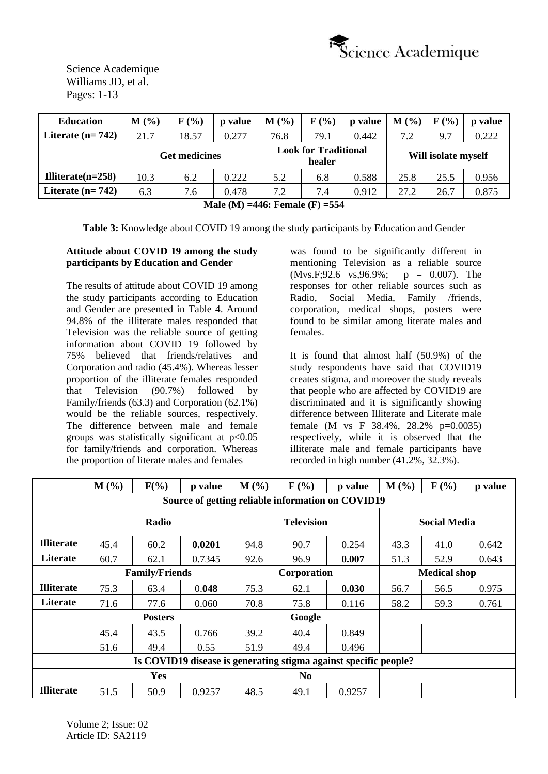

| <b>Education</b>     | (%)<br>М | $F(\%)$              | p value | $M($ %) | F(%)                                  | p value | $M($ %)             | F(%) | p value |  |
|----------------------|----------|----------------------|---------|---------|---------------------------------------|---------|---------------------|------|---------|--|
| Literate $(n=742)$   | 21.7     | 18.57                | 0.277   | 76.8    | 79.1                                  | 0.442   | 7.2                 | 9.7  | 0.222   |  |
|                      |          | <b>Get medicines</b> |         |         | <b>Look for Traditional</b><br>healer |         | Will isolate myself |      |         |  |
| Illiterate $(n=258)$ | 10.3     | 6.2                  | 0.222   | 5.2     | 6.8                                   | 0.588   | 25.8                | 25.5 | 0.956   |  |
| Literate $(n=742)$   | 6.3      | 7.6                  | 0.478   | 7.2     | 7.4                                   | 0.912   | 27.2                | 26.7 | 0.875   |  |

**Male (M) =446: Female (F) =554**

**Table 3:** Knowledge about COVID 19 among the study participants by Education and Gender

# **Attitude about COVID 19 among the study participants by Education and Gender**

The results of attitude about COVID 19 among the study participants according to Education and Gender are presented in Table 4. Around 94.8% of the illiterate males responded that Television was the reliable source of getting information about COVID 19 followed by 75% believed that friends/relatives and Corporation and radio (45.4%). Whereas lesser proportion of the illiterate females responded that Television (90.7%) followed by Family/friends (63.3) and Corporation (62.1%) would be the reliable sources, respectively. The difference between male and female groups was statistically significant at  $p<0.05$ for family/friends and corporation. Whereas the proportion of literate males and females

was found to be significantly different in mentioning Television as a reliable source  $(Mvs.F; 92.6 \ vs. 96.9\%; p = 0.007).$  The responses for other reliable sources such as Radio, Social Media, Family /friends, corporation, medical shops, posters were found to be similar among literate males and females.

It is found that almost half (50.9%) of the study respondents have said that COVID19 creates stigma, and moreover the study reveals that people who are affected by COVID19 are discriminated and it is significantly showing difference between Illiterate and Literate male female (M vs F  $38.4\%$ ,  $28.2\%$  p=0.0035) respectively, while it is observed that the illiterate male and female participants have recorded in high number  $(41.2\%, 32.3\%)$ .

|                   | M(%)                  | $F(\%)$                                                          | p value | $M($ %) | $F(\%)$           | p value | M(%)                | F(%)                | p value |  |
|-------------------|-----------------------|------------------------------------------------------------------|---------|---------|-------------------|---------|---------------------|---------------------|---------|--|
|                   |                       | Source of getting reliable information on COVID19                |         |         |                   |         |                     |                     |         |  |
|                   |                       | Radio                                                            |         |         | <b>Television</b> |         |                     | <b>Social Media</b> |         |  |
| <b>Illiterate</b> | 45.4                  | 60.2                                                             | 0.0201  | 94.8    | 90.7              | 0.254   | 43.3                | 41.0                | 0.642   |  |
| Literate          | 60.7                  | 62.1                                                             | 0.7345  | 92.6    | 96.9              | 0.007   | 51.3                | 52.9                | 0.643   |  |
|                   |                       | <b>Family/Friends</b>                                            |         |         | Corporation       |         | <b>Medical shop</b> |                     |         |  |
| <b>Illiterate</b> | 75.3                  | 63.4                                                             | 0.048   | 75.3    | 62.1              | 0.030   | 56.7                | 56.5                | 0.975   |  |
| Literate          | 71.6                  | 77.6                                                             | 0.060   | 70.8    | 75.8              | 0.116   | 58.2                | 59.3                | 0.761   |  |
|                   |                       | <b>Posters</b>                                                   |         |         | Google            |         |                     |                     |         |  |
|                   | 45.4                  | 43.5                                                             | 0.766   | 39.2    | 40.4              | 0.849   |                     |                     |         |  |
|                   | 51.6                  | 49.4                                                             | 0.55    | 51.9    | 49.4              | 0.496   |                     |                     |         |  |
|                   |                       | Is COVID19 disease is generating stigma against specific people? |         |         |                   |         |                     |                     |         |  |
|                   | Yes<br>N <sub>0</sub> |                                                                  |         |         |                   |         |                     |                     |         |  |
| <b>Illiterate</b> | 51.5                  | 50.9                                                             | 0.9257  | 48.5    | 49.1              | 0.9257  |                     |                     |         |  |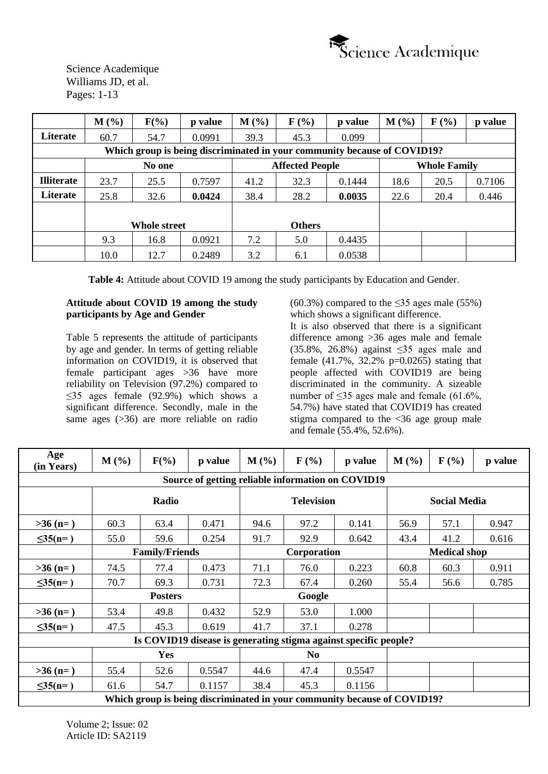

|                   | $M(\%)$ | $F(\%)$             | p value | $M(\%)$ | $\mathbf{F}(\mathcal{V}_0)$ | p value                                                                  | M(%) | $\mathbf{F}$ (%)    | p value |
|-------------------|---------|---------------------|---------|---------|-----------------------------|--------------------------------------------------------------------------|------|---------------------|---------|
| Literate          | 60.7    | 54.7                | 0.0991  | 39.3    | 45.3                        | 0.099                                                                    |      |                     |         |
|                   |         |                     |         |         |                             | Which group is being discriminated in your community because of COVID19? |      |                     |         |
|                   |         | No one              |         |         | <b>Affected People</b>      |                                                                          |      | <b>Whole Family</b> |         |
| <b>Illiterate</b> | 23.7    | 25.5                | 0.7597  | 41.2    | 32.3                        | 0.1444                                                                   | 18.6 | 20.5                | 0.7106  |
| Literate          | 25.8    | 32.6                | 0.0424  | 38.4    | 28.2                        | 0.0035                                                                   | 22.6 | 20.4                | 0.446   |
|                   |         |                     |         |         |                             |                                                                          |      |                     |         |
|                   |         | <b>Whole street</b> |         |         | <b>Others</b>               |                                                                          |      |                     |         |
|                   | 9.3     | 16.8                | 0.0921  | 7.2     | 5.0                         | 0.4435                                                                   |      |                     |         |
|                   | 10.0    | 12.7                | 0.2489  | 3.2     | 6.1                         | 0.0538                                                                   |      |                     |         |

**Table 4:** Attitude about COVID 19 among the study participants by Education and Gender.

### **Attitude about COVID 19 among the study participants by Age and Gender**

Table 5 represents the attitude of participants by age and gender. In terms of getting reliable information on COVID19, it is observed that female participant ages >36 have more reliability on Television (97.2%) compared to  $\leq$ 35 ages female (92.9%) which shows a significant difference. Secondly, male in the same ages (>36) are more reliable on radio  $(60.3\%)$  compared to the  $\leq$ 35 ages male (55%) which shows a significant difference.

It is also observed that there is a significant difference among >36 ages male and female (35.8%, 26.8%) against ≤35 ages male and female  $(41.7\%), 32.2\%$  p=0.0265) stating that people affected with COVID19 are being discriminated in the community. A sizeable number of  $\leq$ 35 ages male and female (61.6%, 54.7%) have stated that COVID19 has created stigma compared to the <36 age group male and female (55.4%, 52.6%).

| Age<br>(in Years) | $M(\%)$                                           | $F(\%)$               | p value | $M(\%)$ | $\mathbf{F}$ (%)  | p value                                                          | $M(\%)$ | $\mathbf{F}$ (%)    | p value                                                                  |  |  |  |  |  |  |  |  |  |  |  |
|-------------------|---------------------------------------------------|-----------------------|---------|---------|-------------------|------------------------------------------------------------------|---------|---------------------|--------------------------------------------------------------------------|--|--|--|--|--|--|--|--|--|--|--|
|                   | Source of getting reliable information on COVID19 |                       |         |         |                   |                                                                  |         |                     |                                                                          |  |  |  |  |  |  |  |  |  |  |  |
|                   |                                                   | Radio                 |         |         | <b>Television</b> |                                                                  |         | <b>Social Media</b> |                                                                          |  |  |  |  |  |  |  |  |  |  |  |
| $>36$ (n=)        | 60.3                                              | 63.4                  | 0.471   | 94.6    | 97.2              | 0.141                                                            | 56.9    | 57.1                | 0.947                                                                    |  |  |  |  |  |  |  |  |  |  |  |
| $\leq 35(n=)$     | 55.0                                              | 59.6                  | 0.254   | 91.7    | 92.9              | 0.642                                                            | 43.4    | 41.2                | 0.616                                                                    |  |  |  |  |  |  |  |  |  |  |  |
|                   |                                                   | <b>Family/Friends</b> |         |         | Corporation       |                                                                  |         | <b>Medical shop</b> |                                                                          |  |  |  |  |  |  |  |  |  |  |  |
| $>36$ (n=)        | 74.5                                              | 77.4                  | 0.473   | 71.1    | 76.0              | 0.223                                                            | 60.8    | 60.3                | 0.911                                                                    |  |  |  |  |  |  |  |  |  |  |  |
| $\leq 35(n=)$     | 70.7                                              | 69.3                  | 0.731   | 72.3    | 67.4              | 0.260                                                            | 55.4    | 56.6                | 0.785                                                                    |  |  |  |  |  |  |  |  |  |  |  |
|                   |                                                   | <b>Posters</b>        |         |         | Google            |                                                                  |         |                     |                                                                          |  |  |  |  |  |  |  |  |  |  |  |
| $>36$ (n=)        | 53.4                                              | 49.8                  | 0.432   | 52.9    | 53.0              | 1.000                                                            |         |                     |                                                                          |  |  |  |  |  |  |  |  |  |  |  |
| $\leq 35(n=)$     | 47.5                                              | 45.3                  | 0.619   | 41.7    | 37.1              | 0.278                                                            |         |                     |                                                                          |  |  |  |  |  |  |  |  |  |  |  |
|                   |                                                   |                       |         |         |                   | Is COVID19 disease is generating stigma against specific people? |         |                     |                                                                          |  |  |  |  |  |  |  |  |  |  |  |
|                   |                                                   | Yes                   |         |         | N <sub>0</sub>    |                                                                  |         |                     |                                                                          |  |  |  |  |  |  |  |  |  |  |  |
| $>36$ (n=)        | 55.4                                              | 52.6                  | 0.5547  | 44.6    | 47.4              | 0.5547                                                           |         |                     |                                                                          |  |  |  |  |  |  |  |  |  |  |  |
| $\leq 35(n=)$     | 61.6                                              | 54.7                  | 0.1157  | 38.4    | 45.3              | 0.1156                                                           |         |                     |                                                                          |  |  |  |  |  |  |  |  |  |  |  |
|                   |                                                   |                       |         |         |                   |                                                                  |         |                     | Which group is being discriminated in your community because of COVID19? |  |  |  |  |  |  |  |  |  |  |  |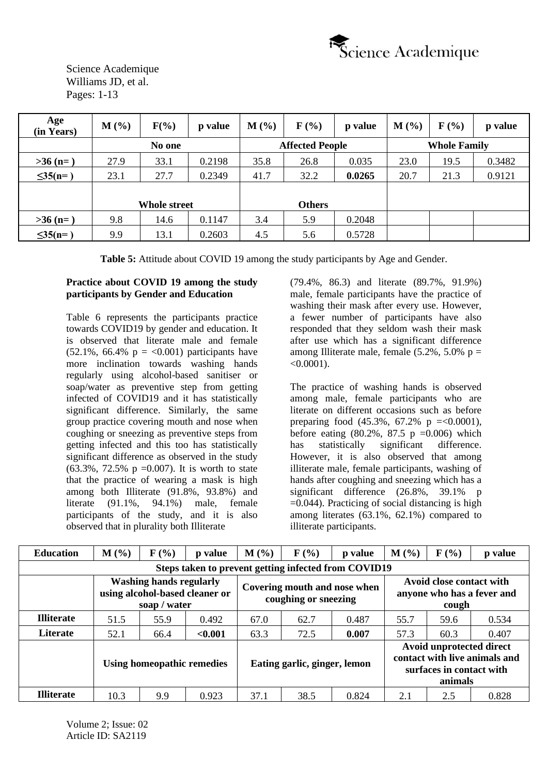

| Age<br>(in Years) | $M(\%)$ | $F(\%)$      | p value | $M(\%)$ | $\mathbf{F}$ (%)       | p value | $M($ %) | $\mathbf{F}$ (%)    | p value |
|-------------------|---------|--------------|---------|---------|------------------------|---------|---------|---------------------|---------|
|                   |         | No one       |         |         | <b>Affected People</b> |         |         | <b>Whole Family</b> |         |
| $>36(n=)$         | 27.9    | 33.1         | 0.2198  | 35.8    | 26.8                   | 0.035   | 23.0    | 19.5                | 0.3482  |
| $\leq 35(n=)$     | 23.1    | 27.7         | 0.2349  | 41.7    | 32.2                   | 0.0265  | 20.7    | 21.3                | 0.9121  |
|                   |         |              |         |         |                        |         |         |                     |         |
|                   |         | Whole street |         |         | <b>Others</b>          |         |         |                     |         |
| $>36$ (n=)        | 9.8     | 14.6         | 0.1147  | 3.4     | 5.9                    | 0.2048  |         |                     |         |
| $\leq 35(n=)$     | 9.9     | 13.1         | 0.2603  | 4.5     | 5.6                    | 0.5728  |         |                     |         |

**Table 5:** Attitude about COVID 19 among the study participants by Age and Gender.

### **Practice about COVID 19 among the study participants by Gender and Education**

Table 6 represents the participants practice towards COVID19 by gender and education. It is observed that literate male and female  $(52.1\%, 66.4\% p = <0.001)$  participants have more inclination towards washing hands regularly using alcohol-based sanitiser or soap/water as preventive step from getting infected of COVID19 and it has statistically significant difference. Similarly, the same group practice covering mouth and nose when coughing or sneezing as preventive steps from getting infected and this too has statistically significant difference as observed in the study  $(63.3\%, 72.5\% \text{ p} = 0.007)$ . It is worth to state that the practice of wearing a mask is high among both Illiterate (91.8%, 93.8%) and literate (91.1%, 94.1%) male, female participants of the study, and it is also observed that in plurality both Illiterate

(79.4%, 86.3) and literate (89.7%, 91.9%) male, female participants have the practice of washing their mask after every use. However, a fewer number of participants have also responded that they seldom wash their mask after use which has a significant difference among Illiterate male, female  $(5.2\% , 5.0\% )$  p =  $< 0.0001$ ).

The practice of washing hands is observed among male, female participants who are literate on different occasions such as before preparing food  $(45.3\%, 67.2\% \text{ p } = < 0.0001)$ , before eating  $(80.2\% \, 87.5 \, p = 0.006)$  which has statistically significant difference. However, it is also observed that among illiterate male, female participants, washing of hands after coughing and sneezing which has a significant difference (26.8%, 39.1% p  $=0.044$ ). Practicing of social distancing is high among literates (63.1%, 62.1%) compared to illiterate participants.

| <b>Education</b>                                     | $M(\%)$ | $\mathbf{F}$ (%)                               | p value                        | $M(\%)$                                              | $\mathbf{F}(\mathcal{V}_0)$  | p value | M(%)                                                            | $F(\%)$                                                         | p value                       |  |  |  |
|------------------------------------------------------|---------|------------------------------------------------|--------------------------------|------------------------------------------------------|------------------------------|---------|-----------------------------------------------------------------|-----------------------------------------------------------------|-------------------------------|--|--|--|
| Steps taken to prevent getting infected from COVID19 |         |                                                |                                |                                                      |                              |         |                                                                 |                                                                 |                               |  |  |  |
|                                                      |         | <b>Washing hands regularly</b><br>soap / water | using alcohol-based cleaner or | Covering mouth and nose when<br>coughing or sneezing |                              |         | Avoid close contact with<br>anyone who has a fever and<br>cough |                                                                 |                               |  |  |  |
| <b>Illiterate</b>                                    | 51.5    | 55.9                                           | 0.492                          | 67.0                                                 | 62.7                         | 0.487   | 55.7                                                            | 59.6                                                            | 0.534                         |  |  |  |
| Literate                                             | 52.1    | 66.4                                           | < 0.001                        | 63.3                                                 | 72.5                         | 0.007   | 57.3                                                            | 60.3                                                            | 0.407                         |  |  |  |
|                                                      |         | Using homeopathic remedies                     |                                |                                                      | Eating garlic, ginger, lemon |         |                                                                 | Avoid unprotected direct<br>surfaces in contact with<br>animals | contact with live animals and |  |  |  |
| <b>Illiterate</b>                                    | 10.3    | 9.9                                            | 0.923                          | 37.1                                                 | 38.5                         | 0.824   | 2.1                                                             | 2.5                                                             | 0.828                         |  |  |  |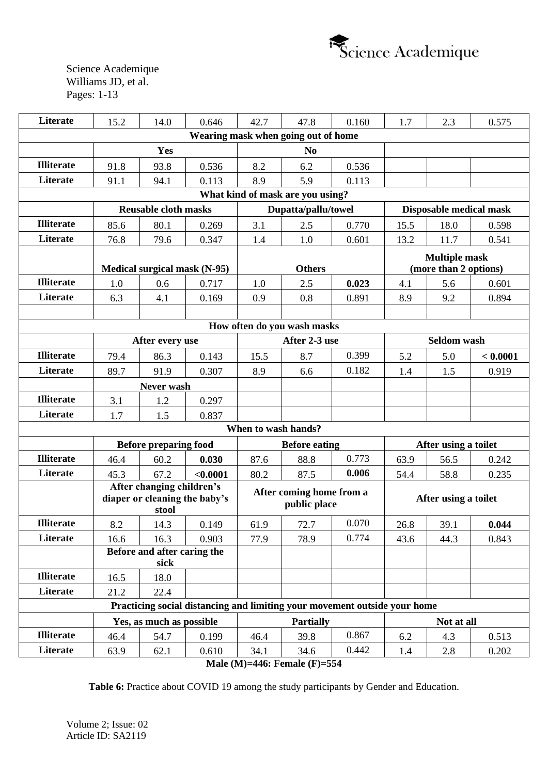

| Literate          | 15.2                        | 14.0                                       | 0.646                                                                     | 42.7                | 47.8                                     | 0.160 | 1.7                  | 2.3                     | 0.575    |  |
|-------------------|-----------------------------|--------------------------------------------|---------------------------------------------------------------------------|---------------------|------------------------------------------|-------|----------------------|-------------------------|----------|--|
|                   |                             |                                            |                                                                           |                     | Wearing mask when going out of home      |       |                      |                         |          |  |
|                   |                             | Yes                                        |                                                                           |                     | N <sub>0</sub>                           |       |                      |                         |          |  |
| <b>Illiterate</b> | 91.8                        | 93.8                                       | 0.536                                                                     | 8.2                 | 6.2                                      | 0.536 |                      |                         |          |  |
| Literate          | 91.1                        | 94.1                                       | 0.113                                                                     | 8.9                 | 5.9                                      | 0.113 |                      |                         |          |  |
|                   |                             |                                            |                                                                           |                     | What kind of mask are you using?         |       |                      |                         |          |  |
|                   |                             | <b>Reusable cloth masks</b>                |                                                                           | Dupatta/pallu/towel |                                          |       |                      | Disposable medical mask |          |  |
| <b>Illiterate</b> | 85.6                        | 80.1                                       | 0.269                                                                     | 3.1                 | 2.5                                      | 0.770 | 15.5                 | 18.0                    | 0.598    |  |
| Literate          | 76.8                        | 79.6                                       | 0.347                                                                     | 1.4                 | 1.0                                      | 0.601 | 13.2                 | 11.7                    | 0.541    |  |
|                   |                             |                                            |                                                                           |                     |                                          |       |                      | <b>Multiple mask</b>    |          |  |
|                   |                             |                                            | Medical surgical mask (N-95)                                              | <b>Others</b>       |                                          |       |                      | (more than 2 options)   |          |  |
| <b>Illiterate</b> | 1.0                         | 0.6                                        | 0.717                                                                     | 1.0                 | 2.5                                      | 0.023 | 4.1                  | 5.6                     | 0.601    |  |
| <b>Literate</b>   | 6.3                         | 4.1                                        | 0.169                                                                     | 0.9                 | 0.8                                      | 0.891 | 8.9                  | 9.2                     | 0.894    |  |
|                   |                             |                                            |                                                                           |                     |                                          |       |                      |                         |          |  |
|                   | How often do you wash masks |                                            |                                                                           |                     |                                          |       |                      |                         |          |  |
|                   |                             | After every use                            |                                                                           | After 2-3 use       |                                          |       |                      | Seldom wash             |          |  |
| <b>Illiterate</b> | 79.4                        | 86.3                                       | 0.143                                                                     | 15.5                | 8.7                                      | 0.399 | 5.2                  | 5.0                     | < 0.0001 |  |
| Literate          | 89.7                        | 91.9                                       | 0.307                                                                     | 8.9                 | 6.6                                      | 0.182 | 1.4                  | 1.5                     | 0.919    |  |
|                   |                             | Never wash                                 |                                                                           |                     |                                          |       |                      |                         |          |  |
| <b>Illiterate</b> | 3.1                         | 1.2                                        | 0.297                                                                     |                     |                                          |       |                      |                         |          |  |
| Literate          | 1.7                         | 1.5                                        | 0.837                                                                     |                     |                                          |       |                      |                         |          |  |
|                   |                             |                                            |                                                                           | When to wash hands? |                                          |       |                      |                         |          |  |
|                   |                             | <b>Before preparing food</b>               |                                                                           |                     | <b>Before eating</b>                     |       | After using a toilet |                         |          |  |
| <b>Illiterate</b> | 46.4                        | 60.2                                       | 0.030                                                                     | 87.6                | 88.8                                     | 0.773 | 63.9                 | 56.5                    | 0.242    |  |
| Literate          | 45.3                        | 67.2                                       | < 0.0001                                                                  | 80.2                | 87.5                                     | 0.006 | 54.4                 | 58.8                    | 0.235    |  |
|                   |                             | After changing children's<br>stool         | diaper or cleaning the baby's                                             |                     | After coming home from a<br>public place |       |                      | After using a toilet    |          |  |
| <b>Illiterate</b> | 8.2                         | 14.3                                       | 0.149                                                                     | 61.9                | 72.7                                     | 0.070 | 26.8                 | 39.1                    | 0.044    |  |
| Literate          | 16.6                        | 16.3                                       | 0.903                                                                     | 77.9                | 78.9                                     | 0.774 | 43.6                 | 44.3                    | 0.843    |  |
|                   |                             | <b>Before and after caring the</b><br>sick |                                                                           |                     |                                          |       |                      |                         |          |  |
| <b>Illiterate</b> | 16.5                        | 18.0                                       |                                                                           |                     |                                          |       |                      |                         |          |  |
| Literate          | 21.2                        | 22.4                                       |                                                                           |                     |                                          |       |                      |                         |          |  |
|                   |                             |                                            | Practicing social distancing and limiting your movement outside your home |                     |                                          |       |                      |                         |          |  |
|                   |                             | Yes, as much as possible                   |                                                                           | <b>Partially</b>    |                                          |       |                      | Not at all              |          |  |
| <b>Illiterate</b> | 46.4                        | 54.7                                       | 0.199                                                                     | 46.4                | 39.8                                     | 0.867 | 6.2                  | 4.3                     | 0.513    |  |
| Literate          | 63.9                        | 62.1                                       | 0.610                                                                     | 34.1                | 34.6                                     | 0.442 | 1.4                  | 2.8                     | 0.202    |  |
|                   |                             |                                            |                                                                           |                     | $Molo (M) = 446$ , Equals (F) = 554      |       |                      |                         |          |  |

**Male (M)=446: Female (F)=554**

**Table 6:** Practice about COVID 19 among the study participants by Gender and Education.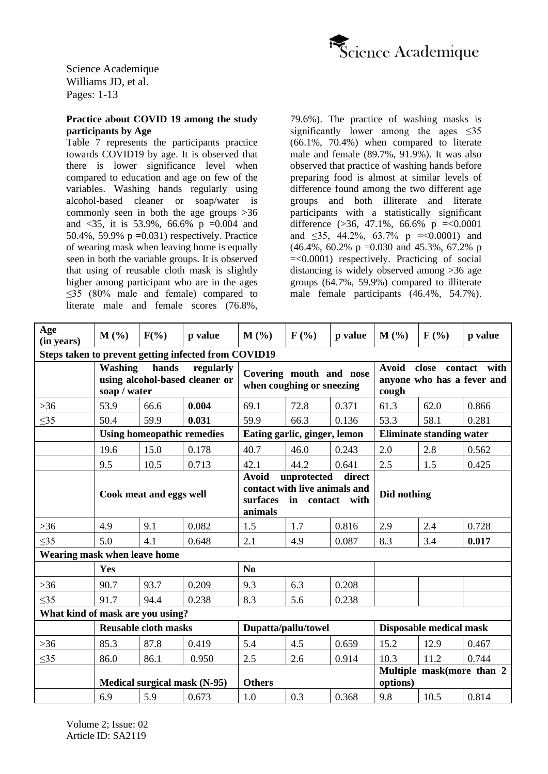

### **Practice about COVID 19 among the study participants by Age**

Table 7 represents the participants practice towards COVID19 by age. It is observed that there is lower significance level when compared to education and age on few of the variables. Washing hands regularly using alcohol-based cleaner or soap/water is commonly seen in both the age groups >36 and  $\langle 35, it$  it is 53.9%, 66.6% p =0.004 and 50.4%, 59.9%  $p = 0.031$ ) respectively. Practice of wearing mask when leaving home is equally seen in both the variable groups. It is observed that using of reusable cloth mask is slightly higher among participant who are in the ages ≤35 (80% male and female) compared to literate male and female scores (76.8%,

79.6%). The practice of washing masks is significantly lower among the ages  $\leq 35$ (66.1%, 70.4%) when compared to literate male and female (89.7%, 91.9%). It was also observed that practice of washing hands before preparing food is almost at similar levels of difference found among the two different age groups and both illiterate and literate participants with a statistically significant difference  $(>36, 47.1\%, 66.6\% \text{ p } = <0.0001$ and  $\leq$ 35, 44.2%, 63.7% p = < 0.0001) and  $(46.4\% \cdot 60.2\% \cdot p = 0.030 \text{ and } 45.3\% \cdot 67.2\% \cdot p$ =<0.0001) respectively. Practicing of social distancing is widely observed among >36 age groups (64.7%, 59.9%) compared to illiterate male female participants (46.4%, 54.7%).

| Age<br>(in years)                                    | M(%)                                                                                   | $F(\%)$ | p value | M(%)                                                                                                             | $F(\%)$ | p value | $M($ %)                                                                         | $\mathbf{F}$ (%) | p value |
|------------------------------------------------------|----------------------------------------------------------------------------------------|---------|---------|------------------------------------------------------------------------------------------------------------------|---------|---------|---------------------------------------------------------------------------------|------------------|---------|
| Steps taken to prevent getting infected from COVID19 |                                                                                        |         |         |                                                                                                                  |         |         |                                                                                 |                  |         |
|                                                      | <b>Washing</b><br>hands<br>regularly<br>using alcohol-based cleaner or<br>soap / water |         |         | Covering mouth and nose<br>when coughing or sneezing                                                             |         |         | <b>Avoid</b><br>with<br>close<br>contact<br>anyone who has a fever and<br>cough |                  |         |
| $>36$                                                | 53.9                                                                                   | 66.6    | 0.004   | 69.1                                                                                                             | 72.8    | 0.371   | 61.3                                                                            | 62.0             | 0.866   |
| $\leq$ 35                                            | 50.4                                                                                   | 59.9    | 0.031   | 59.9                                                                                                             | 66.3    | 0.136   | 53.3                                                                            | 58.1             | 0.281   |
|                                                      | <b>Using homeopathic remedies</b>                                                      |         |         | Eating garlic, ginger, lemon                                                                                     |         |         | <b>Eliminate standing water</b>                                                 |                  |         |
|                                                      | 19.6                                                                                   | 15.0    | 0.178   | 40.7                                                                                                             | 46.0    | 0.243   | 2.0                                                                             | 2.8              | 0.562   |
|                                                      | 9.5                                                                                    | 10.5    | 0.713   | 42.1                                                                                                             | 44.2    | 0.641   | 2.5                                                                             | 1.5              | 0.425   |
|                                                      | Cook meat and eggs well                                                                |         |         | <b>Avoid</b><br>unprotected<br>direct<br>contact with live animals and<br>surfaces<br>in contact with<br>animals |         |         | Did nothing                                                                     |                  |         |
| $>36$                                                | 4.9                                                                                    | 9.1     | 0.082   | 1.5                                                                                                              | 1.7     | 0.816   | 2.9                                                                             | 2.4              | 0.728   |
| $\leq$ 35                                            | 5.0                                                                                    | 4.1     | 0.648   | 2.1                                                                                                              | 4.9     | 0.087   | 8.3                                                                             | 3.4              | 0.017   |
| Wearing mask when leave home                         |                                                                                        |         |         |                                                                                                                  |         |         |                                                                                 |                  |         |
|                                                      | Yes                                                                                    |         |         | N <sub>0</sub>                                                                                                   |         |         |                                                                                 |                  |         |
| $>36$                                                | 90.7                                                                                   | 93.7    | 0.209   | 9.3                                                                                                              | 6.3     | 0.208   |                                                                                 |                  |         |
| $\leq$ 35                                            | 91.7                                                                                   | 94.4    | 0.238   | 8.3                                                                                                              | 5.6     | 0.238   |                                                                                 |                  |         |
| What kind of mask are you using?                     |                                                                                        |         |         |                                                                                                                  |         |         |                                                                                 |                  |         |
|                                                      | <b>Reusable cloth masks</b>                                                            |         |         | Dupatta/pallu/towel                                                                                              |         |         | Disposable medical mask                                                         |                  |         |
| $>36$                                                | 85.3                                                                                   | 87.8    | 0.419   | 5.4                                                                                                              | 4.5     | 0.659   | 15.2                                                                            | 12.9             | 0.467   |
| $\leq 35$                                            | 86.0                                                                                   | 86.1    | 0.950   | 2.5                                                                                                              | 2.6     | 0.914   | 10.3                                                                            | 11.2             | 0.744   |
|                                                      | Medical surgical mask (N-95)                                                           |         |         | <b>Others</b>                                                                                                    |         |         | Multiple mask(more than 2<br>options)                                           |                  |         |
|                                                      | 6.9                                                                                    | 5.9     | 0.673   | 1.0                                                                                                              | 0.3     | 0.368   | 9.8                                                                             | 10.5             | 0.814   |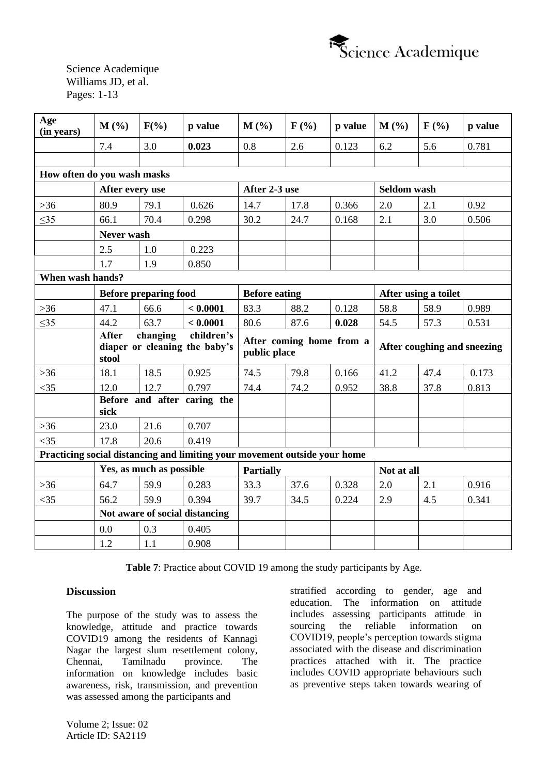

| Age<br>(in years)           | M(%)                                                                             | $F(\%)$                  | p value                                                                   | M(%)                 | $F(\%)$ | p value                                  | $M(\%)$              | F(%)                        | p value |
|-----------------------------|----------------------------------------------------------------------------------|--------------------------|---------------------------------------------------------------------------|----------------------|---------|------------------------------------------|----------------------|-----------------------------|---------|
|                             | 7.4                                                                              | 3.0                      | 0.023                                                                     | 0.8                  | 2.6     | 0.123                                    | 6.2                  | 5.6                         | 0.781   |
|                             |                                                                                  |                          |                                                                           |                      |         |                                          |                      |                             |         |
| How often do you wash masks |                                                                                  |                          |                                                                           |                      |         |                                          |                      |                             |         |
|                             | After every use                                                                  |                          |                                                                           | After 2-3 use        |         |                                          | <b>Seldom wash</b>   |                             |         |
| $>36$                       | 80.9                                                                             | 79.1                     | 0.626                                                                     | 14.7                 | 17.8    | 0.366                                    | 2.0                  | 2.1                         | 0.92    |
| $\leq 35$                   | 66.1                                                                             | 70.4                     | 0.298                                                                     | 30.2                 | 24.7    | 0.168                                    | 2.1                  | 3.0                         | 0.506   |
|                             | Never wash                                                                       |                          |                                                                           |                      |         |                                          |                      |                             |         |
|                             | 2.5                                                                              | 1.0                      | 0.223                                                                     |                      |         |                                          |                      |                             |         |
|                             | 1.7                                                                              | 1.9                      | 0.850                                                                     |                      |         |                                          |                      |                             |         |
| When wash hands?            |                                                                                  |                          |                                                                           |                      |         |                                          |                      |                             |         |
|                             | <b>Before preparing food</b>                                                     |                          |                                                                           | <b>Before eating</b> |         |                                          | After using a toilet |                             |         |
| $>36$                       | 47.1                                                                             | 66.6                     | < 0.0001                                                                  | 83.3                 | 88.2    | 0.128                                    | 58.8                 | 58.9                        | 0.989   |
| $\leq$ 35                   | 44.2                                                                             | 63.7                     | < 0.0001                                                                  | 80.6                 | 87.6    | 0.028                                    | 54.5                 | 57.3                        | 0.531   |
|                             | <b>After</b><br>children's<br>changing<br>diaper or cleaning the baby's<br>stool |                          |                                                                           |                      |         | After coming home from a<br>public place |                      |                             |         |
|                             |                                                                                  |                          |                                                                           |                      |         |                                          |                      | After coughing and sneezing |         |
| $>36$                       | 18.1                                                                             | 18.5                     | 0.925                                                                     | 74.5                 | 79.8    | 0.166                                    | 41.2                 | 47.4                        | 0.173   |
| $<$ 35                      | 12.0                                                                             | 12.7                     | 0.797                                                                     | 74.4                 | 74.2    | 0.952                                    | 38.8                 | 37.8                        | 0.813   |
|                             | sick                                                                             |                          | Before and after caring the                                               |                      |         |                                          |                      |                             |         |
| $>36$                       | 23.0                                                                             | 21.6                     | 0.707                                                                     |                      |         |                                          |                      |                             |         |
| $<$ 35                      | 17.8                                                                             | 20.6                     | 0.419                                                                     |                      |         |                                          |                      |                             |         |
|                             |                                                                                  |                          | Practicing social distancing and limiting your movement outside your home |                      |         |                                          |                      |                             |         |
|                             |                                                                                  | Yes, as much as possible |                                                                           | <b>Partially</b>     |         |                                          | Not at all           |                             |         |
| $>36$                       | 64.7                                                                             | 59.9                     | 0.283                                                                     | 33.3                 | 37.6    | 0.328                                    | 2.0                  | 2.1                         | 0.916   |
| $<$ 35                      | 56.2                                                                             | 59.9                     | 0.394                                                                     | 39.7                 | 34.5    | 0.224                                    | 2.9                  | 4.5                         | 0.341   |
|                             |                                                                                  |                          | Not aware of social distancing                                            |                      |         |                                          |                      |                             |         |
|                             | 0.0                                                                              | 0.3                      | 0.405                                                                     |                      |         |                                          |                      |                             |         |

**Table 7**: Practice about COVID 19 among the study participants by Age.

# **Discussion**

The purpose of the study was to assess the knowledge, attitude and practice towards COVID19 among the residents of Kannagi Nagar the largest slum resettlement colony, Chennai, Tamilnadu province. The information on knowledge includes basic awareness, risk, transmission, and prevention was assessed among the participants and

stratified according to gender, age and education. The information on attitude includes assessing participants attitude in sourcing the reliable information on COVID19, people's perception towards stigma associated with the disease and discrimination practices attached with it. The practice includes COVID appropriate behaviours such as preventive steps taken towards wearing of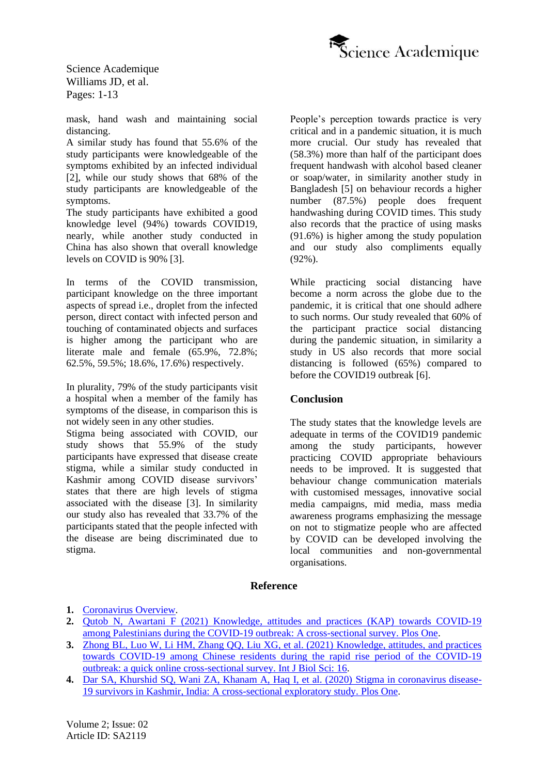

mask, hand wash and maintaining social distancing.

A similar study has found that 55.6% of the study participants were knowledgeable of the symptoms exhibited by an infected individual [\[2\]](#page-11-1), while our study shows that 68% of the study participants are knowledgeable of the symptoms.

The study participants have exhibited a good knowledge level (94%) towards COVID19, nearly, while another study conducted in China has also shown that overall knowledge levels on COVID is 90% [\[3\]](#page-11-2).

In terms of the COVID transmission, participant knowledge on the three important aspects of spread i.e., droplet from the infected person, direct contact with infected person and touching of contaminated objects and surfaces is higher among the participant who are literate male and female (65.9%, 72.8%; 62.5%, 59.5%; 18.6%, 17.6%) respectively.

In plurality, 79% of the study participants visit a hospital when a member of the family has symptoms of the disease, in comparison this is not widely seen in any other studies.

Stigma being associated with COVID, our study shows that 55.9% of the study participants have expressed that disease create stigma, while a similar study conducted in Kashmir among COVID disease survivors' states that there are high levels of stigma associated with the disease [\[3\]](#page-11-3). In similarity our study also has revealed that 33.7% of the participants stated that the people infected with the disease are being discriminated due to stigma.

People's perception towards practice is very critical and in a pandemic situation, it is much more crucial. Our study has revealed that (58.3%) more than half of the participant does frequent handwash with alcohol based cleaner or soap/water, in similarity another study in Bangladesh [\[5\]](#page-12-0) on behaviour records a higher number (87.5%) people does frequent handwashing during COVID times. This study also records that the practice of using masks (91.6%) is higher among the study population and our study also compliments equally  $(92\%)$ .

While practicing social distancing have become a norm across the globe due to the pandemic, it is critical that one should adhere to such norms. Our study revealed that 60% of the participant practice social distancing during the pandemic situation, in similarity a study in US also records that more social distancing is followed (65%) compared to before the COVID19 outbreak [\[6\]](#page-12-1).

# **Conclusion**

The study states that the knowledge levels are adequate in terms of the COVID19 pandemic among the study participants, however practicing COVID appropriate behaviours needs to be improved. It is suggested that behaviour change communication materials with customised messages, innovative social media campaigns, mid media, mass media awareness programs emphasizing the message on not to stigmatize people who are affected by COVID can be developed involving the local communities and non-governmental organisations.

### <span id="page-11-3"></span>**Reference**

- <span id="page-11-0"></span>**1.** [Coronavirus Overview.](https://www.who.int/health-topics/coronavirus#tab=tab_1)
- <span id="page-11-1"></span>**2.** [Qutob N, Awartani F \(2021\) Knowledge, attitudes and practices \(KAP\) towards COVID-19](https://journals.plos.org/plosone/article?id=10.1371/journal.pone.0244925)  [among Palestinians during the COVID-19 outbreak: A cross-sectional survey. Plos One.](https://journals.plos.org/plosone/article?id=10.1371/journal.pone.0244925)
- <span id="page-11-2"></span>**3.** [Zhong BL, Luo W, Li HM, Zhang QQ, Liu XG, et al. \(2021\) Knowledge, attitudes, and practices](https://pubmed.ncbi.nlm.nih.gov/32226294/)  [towards COVID-19 among Chinese residents during the rapid rise period of the COVID-19](https://pubmed.ncbi.nlm.nih.gov/32226294/)  [outbreak: a quick online cross-sectional survey. Int J Biol Sci: 16.](https://pubmed.ncbi.nlm.nih.gov/32226294/)
- **4.** [Dar SA, Khurshid SQ, Wani ZA, Khanam A, Haq I, et al. \(2020\) Stigma in coronavirus disease-](https://journals.plos.org/plosone/article?id=10.1371/journal.pone.0240152)[19 survivors in Kashmir, India: A cross-sectional exploratory study. Plos One.](https://journals.plos.org/plosone/article?id=10.1371/journal.pone.0240152)